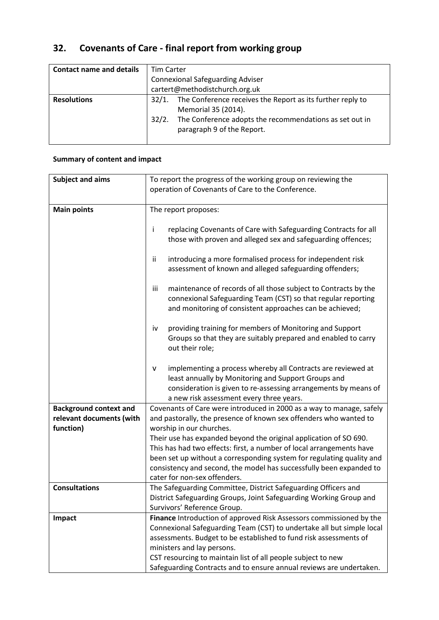# **32. Covenants of Care - final report from working group**

| <b>Contact name and details</b> | <b>Tim Carter</b>                       |                                                                                       |
|---------------------------------|-----------------------------------------|---------------------------------------------------------------------------------------|
|                                 | <b>Connexional Safeguarding Adviser</b> |                                                                                       |
|                                 | cartert@methodistchurch.org.uk          |                                                                                       |
| <b>Resolutions</b>              | 32/1.                                   | The Conference receives the Report as its further reply to<br>Memorial 35 (2014).     |
|                                 | 32/2.                                   | The Conference adopts the recommendations as set out in<br>paragraph 9 of the Report. |

# **Summary of content and impact**

| <b>Subject and aims</b>       | To report the progress of the working group on reviewing the                                                                              |  |
|-------------------------------|-------------------------------------------------------------------------------------------------------------------------------------------|--|
|                               | operation of Covenants of Care to the Conference.                                                                                         |  |
|                               |                                                                                                                                           |  |
| <b>Main points</b>            | The report proposes:                                                                                                                      |  |
|                               |                                                                                                                                           |  |
|                               | replacing Covenants of Care with Safeguarding Contracts for all<br>÷                                                                      |  |
|                               | those with proven and alleged sex and safeguarding offences;                                                                              |  |
|                               |                                                                                                                                           |  |
|                               | introducing a more formalised process for independent risk<br>Ϊİ                                                                          |  |
|                               | assessment of known and alleged safeguarding offenders;                                                                                   |  |
|                               |                                                                                                                                           |  |
|                               | iii<br>maintenance of records of all those subject to Contracts by the                                                                    |  |
|                               | connexional Safeguarding Team (CST) so that regular reporting                                                                             |  |
|                               | and monitoring of consistent approaches can be achieved;                                                                                  |  |
|                               |                                                                                                                                           |  |
|                               | providing training for members of Monitoring and Support<br>iv                                                                            |  |
|                               | Groups so that they are suitably prepared and enabled to carry                                                                            |  |
|                               | out their role;                                                                                                                           |  |
|                               | implementing a process whereby all Contracts are reviewed at<br>۷                                                                         |  |
|                               | least annually by Monitoring and Support Groups and                                                                                       |  |
|                               | consideration is given to re-assessing arrangements by means of                                                                           |  |
|                               | a new risk assessment every three years.                                                                                                  |  |
| <b>Background context and</b> | Covenants of Care were introduced in 2000 as a way to manage, safely                                                                      |  |
| relevant documents (with      | and pastorally, the presence of known sex offenders who wanted to                                                                         |  |
| function)                     | worship in our churches.                                                                                                                  |  |
|                               | Their use has expanded beyond the original application of SO 690.<br>This has had two effects: first, a number of local arrangements have |  |
|                               |                                                                                                                                           |  |
|                               | been set up without a corresponding system for regulating quality and                                                                     |  |
|                               | consistency and second, the model has successfully been expanded to                                                                       |  |
|                               | cater for non-sex offenders.                                                                                                              |  |
| <b>Consultations</b>          | The Safeguarding Committee, District Safeguarding Officers and                                                                            |  |
|                               | District Safeguarding Groups, Joint Safeguarding Working Group and                                                                        |  |
|                               | Survivors' Reference Group.                                                                                                               |  |
| Impact                        | Finance Introduction of approved Risk Assessors commissioned by the                                                                       |  |
|                               | Connexional Safeguarding Team (CST) to undertake all but simple local                                                                     |  |
|                               | assessments. Budget to be established to fund risk assessments of                                                                         |  |
|                               | ministers and lay persons.                                                                                                                |  |
|                               | CST resourcing to maintain list of all people subject to new                                                                              |  |
|                               | Safeguarding Contracts and to ensure annual reviews are undertaken.                                                                       |  |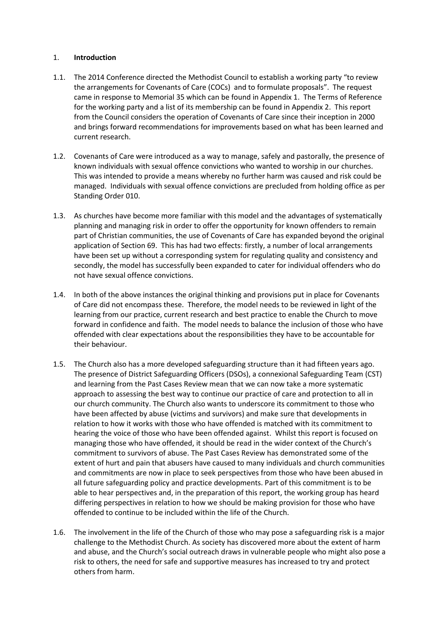## 1. **Introduction**

- 1.1. The 2014 Conference directed the Methodist Council to establish a working party "to review the arrangements for Covenants of Care (COCs) and to formulate proposals". The request came in response to Memorial 35 which can be found in Appendix 1. The Terms of Reference for the working party and a list of its membership can be found in Appendix 2. This report from the Council considers the operation of Covenants of Care since their inception in 2000 and brings forward recommendations for improvements based on what has been learned and current research.
- 1.2. Covenants of Care were introduced as a way to manage, safely and pastorally, the presence of known individuals with sexual offence convictions who wanted to worship in our churches. This was intended to provide a means whereby no further harm was caused and risk could be managed. Individuals with sexual offence convictions are precluded from holding office as per Standing Order 010.
- 1.3. As churches have become more familiar with this model and the advantages of systematically planning and managing risk in order to offer the opportunity for known offenders to remain part of Christian communities, the use of Covenants of Care has expanded beyond the original application of Section 69. This has had two effects: firstly, a number of local arrangements have been set up without a corresponding system for regulating quality and consistency and secondly, the model has successfully been expanded to cater for individual offenders who do not have sexual offence convictions.
- 1.4. In both of the above instances the original thinking and provisions put in place for Covenants of Care did not encompass these. Therefore, the model needs to be reviewed in light of the learning from our practice, current research and best practice to enable the Church to move forward in confidence and faith. The model needs to balance the inclusion of those who have offended with clear expectations about the responsibilities they have to be accountable for their behaviour.
- 1.5. The Church also has a more developed safeguarding structure than it had fifteen years ago. The presence of District Safeguarding Officers (DSOs), a connexional Safeguarding Team (CST) and learning from the Past Cases Review mean that we can now take a more systematic approach to assessing the best way to continue our practice of care and protection to all in our church community. The Church also wants to underscore its commitment to those who have been affected by abuse (victims and survivors) and make sure that developments in relation to how it works with those who have offended is matched with its commitment to hearing the voice of those who have been offended against. Whilst this report is focused on managing those who have offended, it should be read in the wider context of the Church's commitment to survivors of abuse. The Past Cases Review has demonstrated some of the extent of hurt and pain that abusers have caused to many individuals and church communities and commitments are now in place to seek perspectives from those who have been abused in all future safeguarding policy and practice developments. Part of this commitment is to be able to hear perspectives and, in the preparation of this report, the working group has heard differing perspectives in relation to how we should be making provision for those who have offended to continue to be included within the life of the Church.
- 1.6. The involvement in the life of the Church of those who may pose a safeguarding risk is a major challenge to the Methodist Church. As society has discovered more about the extent of harm and abuse, and the Church's social outreach draws in vulnerable people who might also pose a risk to others, the need for safe and supportive measures has increased to try and protect others from harm.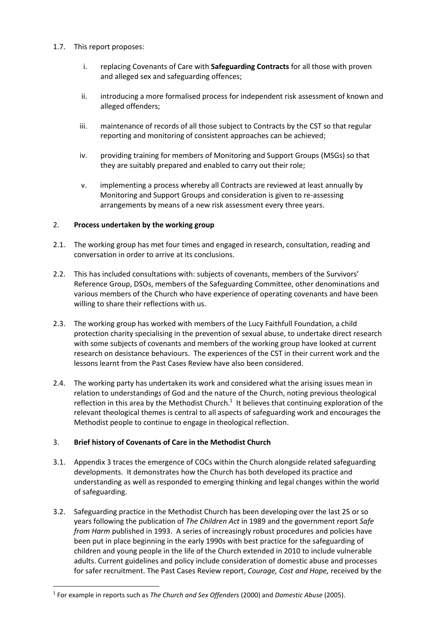## 1.7. This report proposes:

- i. replacing Covenants of Care with **Safeguarding Contracts** for all those with proven and alleged sex and safeguarding offences;
- ii. introducing a more formalised process for independent risk assessment of known and alleged offenders;
- iii. maintenance of records of all those subject to Contracts by the CST so that regular reporting and monitoring of consistent approaches can be achieved;
- iv. providing training for members of Monitoring and Support Groups (MSGs) so that they are suitably prepared and enabled to carry out their role;
- v. implementing a process whereby all Contracts are reviewed at least annually by Monitoring and Support Groups and consideration is given to re-assessing arrangements by means of a new risk assessment every three years.

## 2. **Process undertaken by the working group**

- 2.1. The working group has met four times and engaged in research, consultation, reading and conversation in order to arrive at its conclusions.
- 2.2. This has included consultations with: subjects of covenants, members of the Survivors' Reference Group, DSOs, members of the Safeguarding Committee, other denominations and various members of the Church who have experience of operating covenants and have been willing to share their reflections with us.
- 2.3. The working group has worked with members of the Lucy Faithfull Foundation, a child protection charity specialising in the prevention of sexual abuse, to undertake direct research with some subjects of covenants and members of the working group have looked at current research on desistance behaviours. The experiences of the CST in their current work and the lessons learnt from the Past Cases Review have also been considered.
- 2.4. The working party has undertaken its work and considered what the arising issues mean in relation to understandings of God and the nature of the Church, noting previous theological reflection in this area by the Methodist Church.<sup>1</sup> It believes that continuing exploration of the relevant theological themes is central to all aspects of safeguarding work and encourages the Methodist people to continue to engage in theological reflection.

# 3. **Brief history of Covenants of Care in the Methodist Church**

 $\overline{a}$ 

- 3.1. Appendix 3 traces the emergence of COCs within the Church alongside related safeguarding developments. It demonstrates how the Church has both developed its practice and understanding as well as responded to emerging thinking and legal changes within the world of safeguarding.
- 3.2. Safeguarding practice in the Methodist Church has been developing over the last 25 or so years following the publication of *The Children Act* in 1989 and the government report *Safe from Harm* published in 1993. A series of increasingly robust procedures and policies have been put in place beginning in the early 1990s with best practice for the safeguarding of children and young people in the life of the Church extended in 2010 to include vulnerable adults. Current guidelines and policy include consideration of domestic abuse and processes for safer recruitment. The Past Cases Review report, *Courage, Cost and Hope,* received by the

<sup>1</sup> For example in reports such as *The Church and Sex Offenders* (2000) and *Domestic Abuse* (2005).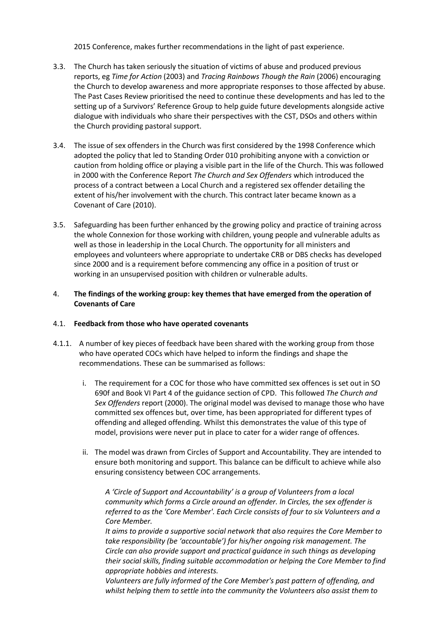2015 Conference, makes further recommendations in the light of past experience.

- 3.3. The Church has taken seriously the situation of victims of abuse and produced previous reports, eg *Time for Action* (2003) and *Tracing Rainbows Though the Rain* (2006) encouraging the Church to develop awareness and more appropriate responses to those affected by abuse. The Past Cases Review prioritised the need to continue these developments and has led to the setting up of a Survivors' Reference Group to help guide future developments alongside active dialogue with individuals who share their perspectives with the CST, DSOs and others within the Church providing pastoral support.
- 3.4. The issue of sex offenders in the Church was first considered by the 1998 Conference which adopted the policy that led to Standing Order 010 prohibiting anyone with a conviction or caution from holding office or playing a visible part in the life of the Church. This was followed in 2000 with the Conference Report *The Church and Sex Offenders* which introduced the process of a contract between a Local Church and a registered sex offender detailing the extent of his/her involvement with the church. This contract later became known as a Covenant of Care (2010).
- 3.5. Safeguarding has been further enhanced by the growing policy and practice of training across the whole Connexion for those working with children, young people and vulnerable adults as well as those in leadership in the Local Church. The opportunity for all ministers and employees and volunteers where appropriate to undertake CRB or DBS checks has developed since 2000 and is a requirement before commencing any office in a position of trust or working in an unsupervised position with children or vulnerable adults.

## 4. **The findings of the working group: key themes that have emerged from the operation of Covenants of Care**

## 4.1. **Feedback from those who have operated covenants**

- 4.1.1. A number of key pieces of feedback have been shared with the working group from those who have operated COCs which have helped to inform the findings and shape the recommendations. These can be summarised as follows:
	- i. The requirement for a COC for those who have committed sex offences is set out in SO 690f and Book VI Part 4 of the guidance section of CPD. This followed *The Church and Sex Offenders* report (2000). The original model was devised to manage those who have committed sex offences but, over time, has been appropriated for different types of offending and alleged offending. Whilst this demonstrates the value of this type of model, provisions were never put in place to cater for a wider range of offences.
	- ii. The model was drawn from Circles of Support and Accountability. They are intended to ensure both monitoring and support. This balance can be difficult to achieve while also ensuring consistency between COC arrangements.

*A 'Circle of Support and Accountability' is a group of Volunteers from a local community which forms a Circle around an offender. In Circles, the sex offender is referred to as the 'Core Member'. Each Circle consists of four to six Volunteers and a Core Member.*

*It aims to provide a supportive social network that also requires the Core Member to take responsibility (be 'accountable') for his/her ongoing risk management. The Circle can also provide support and practical guidance in such things as developing their social skills, finding suitable accommodation or helping the Core Member to find appropriate hobbies and interests.*

*Volunteers are fully informed of the Core Member's past pattern of offending, and whilst helping them to settle into the community the Volunteers also assist them to*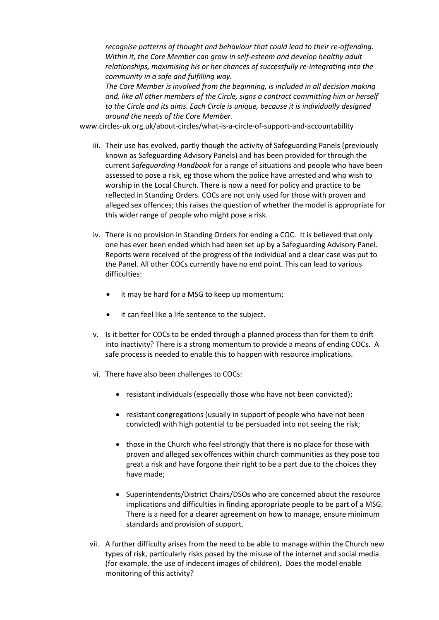*recognise patterns of thought and behaviour that could lead to their re-offending. Within it, the Core Member can grow in self-esteem and develop healthy adult relationships, maximising his or her chances of successfully re-integrating into the community in a safe and fulfilling way.*

*The Core Member is involved from the beginning, is included in all decision making and, like all other members of the Circle, signs a contract committing him or herself to the Circle and its aims. Each Circle is unique, because it is individually designed around the needs of the Core Member.*

[www.circles-uk.org.uk/about-circles/what-is-a-circle-of-support-and-accountability](http://www.circles-uk.org.uk/about-circles/what-is-a-circle-of-support-and-accountability)

- iii. Their use has evolved, partly though the activity of Safeguarding Panels (previously known as Safeguarding Advisory Panels) and has been provided for through the current *Safeguarding Handbook* for a range of situations and people who have been assessed to pose a risk, eg those whom the police have arrested and who wish to worship in the Local Church. There is now a need for policy and practice to be reflected in Standing Orders. COCs are not only used for those with proven and alleged sex offences; this raises the question of whether the model is appropriate for this wider range of people who might pose a risk.
- iv. There is no provision in Standing Orders for ending a COC. It is believed that only one has ever been ended which had been set up by a Safeguarding Advisory Panel. Reports were received of the progress of the individual and a clear case was put to the Panel. All other COCs currently have no end point. This can lead to various difficulties:
	- it may be hard for a MSG to keep up momentum;
	- it can feel like a life sentence to the subject.
- v. Is it better for COCs to be ended through a planned process than for them to drift into inactivity? There is a strong momentum to provide a means of ending COCs. A safe process is needed to enable this to happen with resource implications.
- vi. There have also been challenges to COCs:
	- resistant individuals (especially those who have not been convicted);
	- resistant congregations (usually in support of people who have not been convicted) with high potential to be persuaded into not seeing the risk;
	- those in the Church who feel strongly that there is no place for those with proven and alleged sex offences within church communities as they pose too great a risk and have forgone their right to be a part due to the choices they have made;
	- Superintendents/District Chairs/DSOs who are concerned about the resource implications and difficulties in finding appropriate people to be part of a MSG. There is a need for a clearer agreement on how to manage, ensure minimum standards and provision of support.
- vii. A further difficulty arises from the need to be able to manage within the Church new types of risk, particularly risks posed by the misuse of the internet and social media (for example, the use of indecent images of children). Does the model enable monitoring of this activity?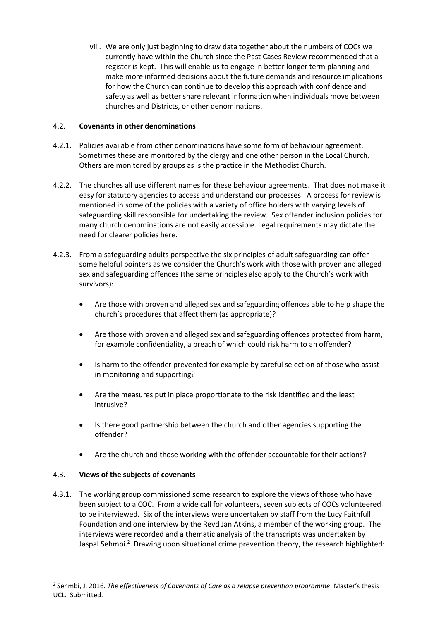viii. We are only just beginning to draw data together about the numbers of COCs we currently have within the Church since the Past Cases Review recommended that a register is kept. This will enable us to engage in better longer term planning and make more informed decisions about the future demands and resource implications for how the Church can continue to develop this approach with confidence and safety as well as better share relevant information when individuals move between churches and Districts, or other denominations.

# 4.2. **Covenants in other denominations**

- 4.2.1. Policies available from other denominations have some form of behaviour agreement. Sometimes these are monitored by the clergy and one other person in the Local Church. Others are monitored by groups as is the practice in the Methodist Church.
- 4.2.2. The churches all use different names for these behaviour agreements. That does not make it easy for statutory agencies to access and understand our processes. A process for review is mentioned in some of the policies with a variety of office holders with varying levels of safeguarding skill responsible for undertaking the review. Sex offender inclusion policies for many church denominations are not easily accessible. Legal requirements may dictate the need for clearer policies here.
- 4.2.3. From a safeguarding adults perspective the six principles of adult safeguarding can offer some helpful pointers as we consider the Church's work with those with proven and alleged sex and safeguarding offences (the same principles also apply to the Church's work with survivors):
	- Are those with proven and alleged sex and safeguarding offences able to help shape the church's procedures that affect them (as appropriate)?
	- Are those with proven and alleged sex and safeguarding offences protected from harm, for example confidentiality, a breach of which could risk harm to an offender?
	- Is harm to the offender prevented for example by careful selection of those who assist in monitoring and supporting?
	- Are the measures put in place proportionate to the risk identified and the least intrusive?
	- Is there good partnership between the church and other agencies supporting the offender?
	- Are the church and those working with the offender accountable for their actions?

# 4.3. **Views of the subjects of covenants**

**.** 

4.3.1. The working group commissioned some research to explore the views of those who have been subject to a COC. From a wide call for volunteers, seven subjects of COCs volunteered to be interviewed. Six of the interviews were undertaken by staff from the Lucy Faithfull Foundation and one interview by the Revd Jan Atkins, a member of the working group. The interviews were recorded and a thematic analysis of the transcripts was undertaken by Jaspal Sehmbi.<sup>2</sup> Drawing upon situational crime prevention theory, the research highlighted:

<sup>2</sup> Sehmbi, J, 2016. *The effectiveness of Covenants of Care as a relapse prevention programme*. Master's thesis UCL. Submitted.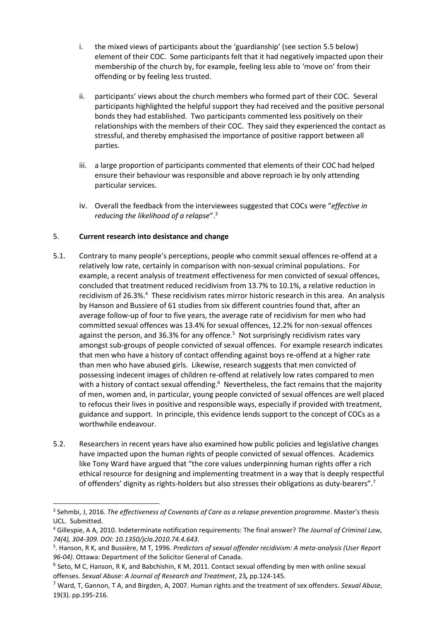- i. the mixed views of participants about the 'guardianship' (see section 5.5 below) element of their COC. Some participants felt that it had negatively impacted upon their membership of the church by, for example, feeling less able to 'move on' from their offending or by feeling less trusted.
- ii. participants' views about the church members who formed part of their COC. Several participants highlighted the helpful support they had received and the positive personal bonds they had established. Two participants commented less positively on their relationships with the members of their COC. They said they experienced the contact as stressful, and thereby emphasised the importance of positive rapport between all parties.
- iii. a large proportion of participants commented that elements of their COC had helped ensure their behaviour was responsible and above reproach ie by only attending particular services.
- iv. Overall the feedback from the interviewees suggested that COCs were "*effective in reducing the likelihood of a relapse*".<sup>3</sup>

# 5. **Current research into desistance and change**

**.** 

- 5.1. Contrary to many people's perceptions, people who commit sexual offences re-offend at a relatively low rate, certainly in comparison with non-sexual criminal populations. For example, a recent analysis of treatment effectiveness for men convicted of sexual offences, concluded that treatment reduced recidivism from 13.7% to 10.1%, a relative reduction in recidivism of 26.3%.<sup>4</sup> These recidivism rates mirror historic research in this area. An analysis by Hanson and Bussiere of 61 studies from six different countries found that, after an average follow-up of four to five years, the average rate of recidivism for men who had committed sexual offences was 13.4% for sexual offences, 12.2% for non-sexual offences against the person, and 36.3% for any offence.<sup>5</sup> Not surprisingly recidivism rates vary amongst sub-groups of people convicted of sexual offences. For example research indicates that men who have a history of contact offending against boys re-offend at a higher rate than men who have abused girls. Likewise, research suggests that men convicted of possessing indecent images of children re-offend at relatively low rates compared to men with a history of contact sexual offending.<sup>6</sup> Nevertheless, the fact remains that the majority of men, women and, in particular, young people convicted of sexual offences are well placed to refocus their lives in positive and responsible ways, especially if provided with treatment, guidance and support. In principle, this evidence lends support to the concept of COCs as a worthwhile endeavour.
- 5.2. Researchers in recent years have also examined how public policies and legislative changes have impacted upon the human rights of people convicted of sexual offences. Academics like Tony Ward have argued that "the core values underpinning human rights offer a rich ethical resource for designing and implementing treatment in a way that is deeply respectful of offenders' dignity as rights-holders but also stresses their obligations as duty-bearers".<sup>7</sup>

<sup>3</sup> Sehmbi, J, 2016. *The effectiveness of Covenants of Care as a relapse prevention programme*. Master's thesis UCL. Submitted.

<sup>4</sup> Gillespie, A A, 2010. Indeterminate notification requirements: The final answer? *The Journal of Criminal Law, 74(4), 304-309. DOI: 10.1350/jcla.2010.74.4.643*.

<sup>5</sup> . Hanson, R K, and Bussiѐre, M T, 1996. *Predictors of sexual offender recidivism: A meta-analysis (User Report 96-04)*. Ottawa: Department of the Solicitor General of Canada.

<sup>&</sup>lt;sup>6</sup> Seto, M C, Hanson, R K, and Babchishin, K M, 2011. Contact sexual offending by men with online sexual offenses. *Sexual Abuse: A Journal of Research and Treatment*, 23*,* pp.124-145*.*

<sup>7</sup> Ward, T, Gannon, T A, and Birgden, A, 2007. Human rights and the treatment of sex offenders. *Sexual Abuse*, 19(3). pp.195-216.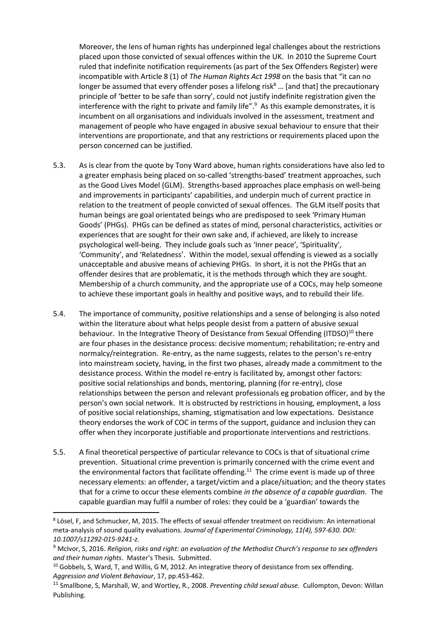Moreover, the lens of human rights has underpinned legal challenges about the restrictions placed upon those convicted of sexual offences within the UK. In 2010 the Supreme Court ruled that indefinite notification requirements (as part of the Sex Offenders Register) were incompatible with Article 8 (1) of *The Human Rights Act 1998* on the basis that "it can no longer be assumed that every offender poses a lifelong risk $8 \dots$  [and that] the precautionary principle of 'better to be safe than sorry', could not justify indefinite registration given the interference with the right to private and family life".<sup>9</sup> As this example demonstrates, it is incumbent on all organisations and individuals involved in the assessment, treatment and management of people who have engaged in abusive sexual behaviour to ensure that their interventions are proportionate, and that any restrictions or requirements placed upon the person concerned can be justified.

- 5.3. As is clear from the quote by Tony Ward above, human rights considerations have also led to a greater emphasis being placed on so-called 'strengths-based' treatment approaches, such as the Good Lives Model (GLM). Strengths-based approaches place emphasis on well-being and improvements in participants' capabilities, and underpin much of current practice in relation to the treatment of people convicted of sexual offences. The GLM itself posits that human beings are goal orientated beings who are predisposed to seek 'Primary Human Goods' (PHGs). PHGs can be defined as states of mind, personal characteristics, activities or experiences that are sought for their own sake and, if achieved, are likely to increase psychological well-being. They include goals such as 'Inner peace', 'Spirituality', 'Community', and 'Relatedness'. Within the model, sexual offending is viewed as a socially unacceptable and abusive means of achieving PHGs. In short, it is not the PHGs that an offender desires that are problematic, it is the methods through which they are sought. Membership of a church community, and the appropriate use of a COCs, may help someone to achieve these important goals in healthy and positive ways, and to rebuild their life.
- 5.4. The importance of community, positive relationships and a sense of belonging is also noted within the literature about what helps people desist from a pattern of abusive sexual behaviour. In the Integrative Theory of Desistance from Sexual Offending (ITDSO)<sup>10</sup> there are four phases in the desistance process: decisive momentum; rehabilitation; re-entry and normalcy/reintegration. Re-entry, as the name suggests, relates to the person's re-entry into mainstream society, having, in the first two phases, already made a commitment to the desistance process. Within the model re-entry is facilitated by, amongst other factors: positive social relationships and bonds, mentoring, planning (for re-entry), close relationships between the person and relevant professionals eg probation officer, and by the person's own social network. It is obstructed by restrictions in housing, employment, a loss of positive social relationships, shaming, stigmatisation and low expectations. Desistance theory endorses the work of COC in terms of the support, guidance and inclusion they can offer when they incorporate justifiable and proportionate interventions and restrictions.
- 5.5. A final theoretical perspective of particular relevance to COCs is that of situational crime prevention. Situational crime prevention is primarily concerned with the crime event and the environmental factors that facilitate offending.<sup>11</sup> The crime event is made up of three necessary elements: an offender, a target/victim and a place/situation; and the theory states that for a crime to occur these elements combine *in the absence of a capable guardian.* The capable guardian may fulfil a number of roles: they could be a 'guardian' towards the

**.** 

<sup>8</sup> Lösel, F, and Schmucker, M, 2015. The effects of sexual offender treatment on recidivism: An international meta-analysis of sound quality evaluations*. Journal of Experimental Criminology, 11(4), 597-630. DOI: 10.1007/s11292-015-9241-z.*

<sup>9</sup> McIvor, S, 2016. *Religion, risks and right: an evaluation of the Methodist Church's response to sex offenders and their human rights*. Master's Thesis. Submitted.

 $10$  Gobbels, S, Ward, T, and Willis, G M, 2012. An integrative theory of desistance from sex offending. *Aggression and Violent Behaviour*, 17, pp.453-462.

<sup>11</sup> Smallbone, S, Marshall, W, and Wortley, R., 2008. *Preventing child sexual abuse.* Cullompton, Devon: Willan Publishing.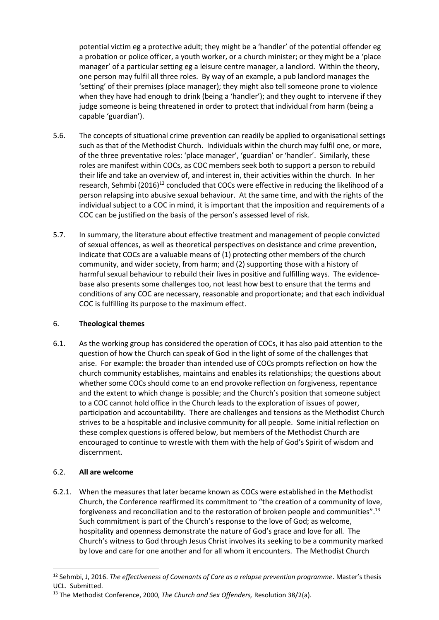potential victim eg a protective adult; they might be a 'handler' of the potential offender eg a probation or police officer, a youth worker, or a church minister; or they might be a 'place manager' of a particular setting eg a leisure centre manager, a landlord. Within the theory, one person may fulfil all three roles. By way of an example, a pub landlord manages the 'setting' of their premises (place manager); they might also tell someone prone to violence when they have had enough to drink (being a 'handler'); and they ought to intervene if they judge someone is being threatened in order to protect that individual from harm (being a capable 'guardian').

- 5.6. The concepts of situational crime prevention can readily be applied to organisational settings such as that of the Methodist Church. Individuals within the church may fulfil one, or more, of the three preventative roles: 'place manager', 'guardian' or 'handler'. Similarly, these roles are manifest within COCs, as COC members seek both to support a person to rebuild their life and take an overview of, and interest in, their activities within the church. In her research, Sehmbi  $(2016)^{12}$  concluded that COCs were effective in reducing the likelihood of a person relapsing into abusive sexual behaviour. At the same time, and with the rights of the individual subject to a COC in mind, it is important that the imposition and requirements of a COC can be justified on the basis of the person's assessed level of risk.
- 5.7. In summary, the literature about effective treatment and management of people convicted of sexual offences, as well as theoretical perspectives on desistance and crime prevention, indicate that COCs are a valuable means of (1) protecting other members of the church community, and wider society, from harm; and (2) supporting those with a history of harmful sexual behaviour to rebuild their lives in positive and fulfilling ways. The evidencebase also presents some challenges too, not least how best to ensure that the terms and conditions of any COC are necessary, reasonable and proportionate; and that each individual COC is fulfilling its purpose to the maximum effect.

# 6. **Theological themes**

6.1. As the working group has considered the operation of COCs, it has also paid attention to the question of how the Church can speak of God in the light of some of the challenges that arise. For example: the broader than intended use of COCs prompts reflection on how the church community establishes, maintains and enables its relationships; the questions about whether some COCs should come to an end provoke reflection on forgiveness, repentance and the extent to which change is possible; and the Church's position that someone subject to a COC cannot hold office in the Church leads to the exploration of issues of power, participation and accountability. There are challenges and tensions as the Methodist Church strives to be a hospitable and inclusive community for all people. Some initial reflection on these complex questions is offered below, but members of the Methodist Church are encouraged to continue to wrestle with them with the help of God's Spirit of wisdom and discernment.

# 6.2. **All are welcome**

1

6.2.1. When the measures that later became known as COCs were established in the Methodist Church, the Conference reaffirmed its commitment to "the creation of a community of love, forgiveness and reconciliation and to the restoration of broken people and communities".<sup>13</sup> Such commitment is part of the Church's response to the love of God; as welcome, hospitality and openness demonstrate the nature of God's grace and love for all. The Church's witness to God through Jesus Christ involves its seeking to be a community marked by love and care for one another and for all whom it encounters. The Methodist Church

<sup>12</sup> Sehmbi, J, 2016. *The effectiveness of Covenants of Care as a relapse prevention programme*. Master's thesis UCL. Submitted.

<sup>13</sup> The Methodist Conference, 2000, *The Church and Sex Offenders,* Resolution 38/2(a).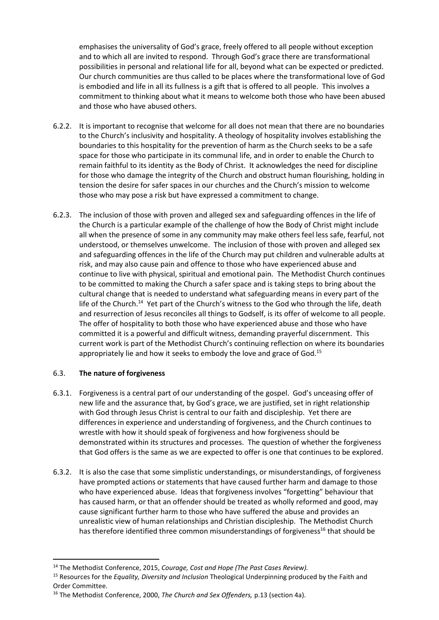emphasises the universality of God's grace, freely offered to all people without exception and to which all are invited to respond. Through God's grace there are transformational possibilities in personal and relational life for all, beyond what can be expected or predicted. Our church communities are thus called to be places where the transformational love of God is embodied and life in all its fullness is a gift that is offered to all people. This involves a commitment to thinking about what it means to welcome both those who have been abused and those who have abused others.

- 6.2.2. It is important to recognise that welcome for all does not mean that there are no boundaries to the Church's inclusivity and hospitality. A theology of hospitality involves establishing the boundaries to this hospitality for the prevention of harm as the Church seeks to be a safe space for those who participate in its communal life, and in order to enable the Church to remain faithful to its identity as the Body of Christ. It acknowledges the need for discipline for those who damage the integrity of the Church and obstruct human flourishing, holding in tension the desire for safer spaces in our churches and the Church's mission to welcome those who may pose a risk but have expressed a commitment to change.
- 6.2.3. The inclusion of those with proven and alleged sex and safeguarding offences in the life of the Church is a particular example of the challenge of how the Body of Christ might include all when the presence of some in any community may make others feel less safe, fearful, not understood, or themselves unwelcome. The inclusion of those with proven and alleged sex and safeguarding offences in the life of the Church may put children and vulnerable adults at risk, and may also cause pain and offence to those who have experienced abuse and continue to live with physical, spiritual and emotional pain. The Methodist Church continues to be committed to making the Church a safer space and is taking steps to bring about the cultural change that is needed to understand what safeguarding means in every part of the life of the Church.<sup>14</sup> Yet part of the Church's witness to the God who through the life, death and resurrection of Jesus reconciles all things to Godself, is its offer of welcome to all people. The offer of hospitality to both those who have experienced abuse and those who have committed it is a powerful and difficult witness, demanding prayerful discernment. This current work is part of the Methodist Church's continuing reflection on where its boundaries appropriately lie and how it seeks to embody the love and grace of God.<sup>15</sup>

## 6.3. **The nature of forgiveness**

**.** 

- 6.3.1. Forgiveness is a central part of our understanding of the gospel. God's unceasing offer of new life and the assurance that, by God's grace, we are justified, set in right relationship with God through Jesus Christ is central to our faith and discipleship. Yet there are differences in experience and understanding of forgiveness, and the Church continues to wrestle with how it should speak of forgiveness and how forgiveness should be demonstrated within its structures and processes. The question of whether the forgiveness that God offers is the same as we are expected to offer is one that continues to be explored.
- 6.3.2. It is also the case that some simplistic understandings, or misunderstandings, of forgiveness have prompted actions or statements that have caused further harm and damage to those who have experienced abuse. Ideas that forgiveness involves "forgetting" behaviour that has caused harm, or that an offender should be treated as wholly reformed and good, may cause significant further harm to those who have suffered the abuse and provides an unrealistic view of human relationships and Christian discipleship. The Methodist Church has therefore identified three common misunderstandings of forgiveness<sup>16</sup> that should be

<sup>14</sup> The Methodist Conference, 2015, *Courage, Cost and Hope (The Past Cases Review).*

<sup>15</sup> Resources for the *Equality, Diversity and Inclusion* Theological Underpinning produced by the Faith and Order Committee.

<sup>16</sup> The Methodist Conference, 2000, *The Church and Sex Offenders,* p.13 (section 4a).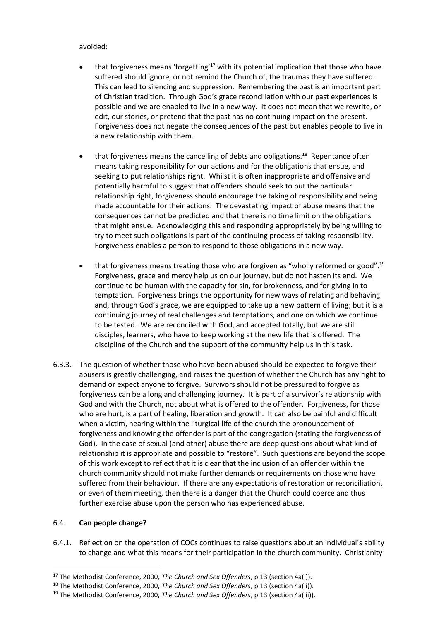## avoided:

- that forgiveness means 'forgetting'<sup>17</sup> with its potential implication that those who have suffered should ignore, or not remind the Church of, the traumas they have suffered. This can lead to silencing and suppression. Remembering the past is an important part of Christian tradition. Through God's grace reconciliation with our past experiences is possible and we are enabled to live in a new way. It does not mean that we rewrite, or edit, our stories, or pretend that the past has no continuing impact on the present. Forgiveness does not negate the consequences of the past but enables people to live in a new relationship with them.
- $\bullet$  that forgiveness means the cancelling of debts and obligations.<sup>18</sup> Repentance often means taking responsibility for our actions and for the obligations that ensue, and seeking to put relationships right. Whilst it is often inappropriate and offensive and potentially harmful to suggest that offenders should seek to put the particular relationship right, forgiveness should encourage the taking of responsibility and being made accountable for their actions. The devastating impact of abuse means that the consequences cannot be predicted and that there is no time limit on the obligations that might ensue. Acknowledging this and responding appropriately by being willing to try to meet such obligations is part of the continuing process of taking responsibility. Forgiveness enables a person to respond to those obligations in a new way.
- that forgiveness means treating those who are forgiven as "wholly reformed or good".<sup>19</sup> Forgiveness, grace and mercy help us on our journey, but do not hasten its end. We continue to be human with the capacity for sin, for brokenness, and for giving in to temptation. Forgiveness brings the opportunity for new ways of relating and behaving and, through God's grace, we are equipped to take up a new pattern of living; but it is a continuing journey of real challenges and temptations, and one on which we continue to be tested. We are reconciled with God, and accepted totally, but we are still disciples, learners, who have to keep working at the new life that is offered. The discipline of the Church and the support of the community help us in this task.
- 6.3.3. The question of whether those who have been abused should be expected to forgive their abusers is greatly challenging, and raises the question of whether the Church has any right to demand or expect anyone to forgive. Survivors should not be pressured to forgive as forgiveness can be a long and challenging journey. It is part of a survivor's relationship with God and with the Church, not about what is offered to the offender. Forgiveness, for those who are hurt, is a part of healing, liberation and growth. It can also be painful and difficult when a victim, hearing within the liturgical life of the church the pronouncement of forgiveness and knowing the offender is part of the congregation (stating the forgiveness of God). In the case of sexual (and other) abuse there are deep questions about what kind of relationship it is appropriate and possible to "restore". Such questions are beyond the scope of this work except to reflect that it is clear that the inclusion of an offender within the church community should not make further demands or requirements on those who have suffered from their behaviour. If there are any expectations of restoration or reconciliation, or even of them meeting, then there is a danger that the Church could coerce and thus further exercise abuse upon the person who has experienced abuse.

## 6.4. **Can people change?**

1

6.4.1. Reflection on the operation of COCs continues to raise questions about an individual's ability to change and what this means for their participation in the church community. Christianity

<sup>17</sup> The Methodist Conference, 2000, *The Church and Sex Offenders*, p.13 (section 4a(i)).

<sup>18</sup> The Methodist Conference, 2000, *The Church and Sex Offenders*, p.13 (section 4a(ii)).

<sup>19</sup> The Methodist Conference, 2000, *The Church and Sex Offenders*, p.13 (section 4a(iii)).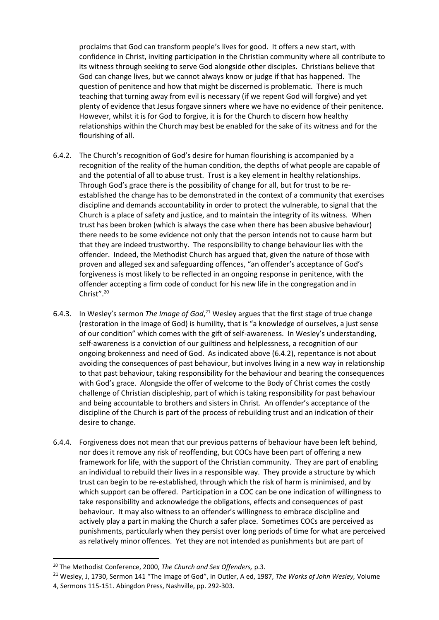proclaims that God can transform people's lives for good. It offers a new start, with confidence in Christ, inviting participation in the Christian community where all contribute to its witness through seeking to serve God alongside other disciples. Christians believe that God can change lives, but we cannot always know or judge if that has happened. The question of penitence and how that might be discerned is problematic. There is much teaching that turning away from evil is necessary (if we repent God will forgive) and yet plenty of evidence that Jesus forgave sinners where we have no evidence of their penitence. However, whilst it is for God to forgive, it is for the Church to discern how healthy relationships within the Church may best be enabled for the sake of its witness and for the flourishing of all.

- 6.4.2. The Church's recognition of God's desire for human flourishing is accompanied by a recognition of the reality of the human condition, the depths of what people are capable of and the potential of all to abuse trust. Trust is a key element in healthy relationships. Through God's grace there is the possibility of change for all, but for trust to be reestablished the change has to be demonstrated in the context of a community that exercises discipline and demands accountability in order to protect the vulnerable, to signal that the Church is a place of safety and justice, and to maintain the integrity of its witness. When trust has been broken (which is always the case when there has been abusive behaviour) there needs to be some evidence not only that the person intends not to cause harm but that they are indeed trustworthy. The responsibility to change behaviour lies with the offender. Indeed, the Methodist Church has argued that, given the nature of those with proven and alleged sex and safeguarding offences, "an offender's acceptance of God's forgiveness is most likely to be reflected in an ongoing response in penitence, with the offender accepting a firm code of conduct for his new life in the congregation and in Christ". 20
- 6.4.3. In Wesley's sermon *The Image of God*,<sup>21</sup> Wesley argues that the first stage of true change (restoration in the image of God) is humility, that is "a knowledge of ourselves, a just sense of our condition" which comes with the gift of self-awareness. In Wesley's understanding, self-awareness is a conviction of our guiltiness and helplessness, a recognition of our ongoing brokenness and need of God. As indicated above (6.4.2), repentance is not about avoiding the consequences of past behaviour, but involves living in a new way in relationship to that past behaviour, taking responsibility for the behaviour and bearing the consequences with God's grace. Alongside the offer of welcome to the Body of Christ comes the costly challenge of Christian discipleship, part of which is taking responsibility for past behaviour and being accountable to brothers and sisters in Christ. An offender's acceptance of the discipline of the Church is part of the process of rebuilding trust and an indication of their desire to change.
- 6.4.4. Forgiveness does not mean that our previous patterns of behaviour have been left behind, nor does it remove any risk of reoffending, but COCs have been part of offering a new framework for life, with the support of the Christian community. They are part of enabling an individual to rebuild their lives in a responsible way. They provide a structure by which trust can begin to be re-established, through which the risk of harm is minimised, and by which support can be offered. Participation in a COC can be one indication of willingness to take responsibility and acknowledge the obligations, effects and consequences of past behaviour. It may also witness to an offender's willingness to embrace discipline and actively play a part in making the Church a safer place. Sometimes COCs are perceived as punishments, particularly when they persist over long periods of time for what are perceived as relatively minor offences. Yet they are not intended as punishments but are part of

**.** 

<sup>20</sup> The Methodist Conference, 2000, *The Church and Sex Offenders,* p.3.

<sup>21</sup> Wesley, J, 1730, Sermon 141 "The Image of God", in Outler, A ed, 1987, *The Works of John Wesley,* Volume 4, Sermons 115-151. Abingdon Press, Nashville, pp. 292-303.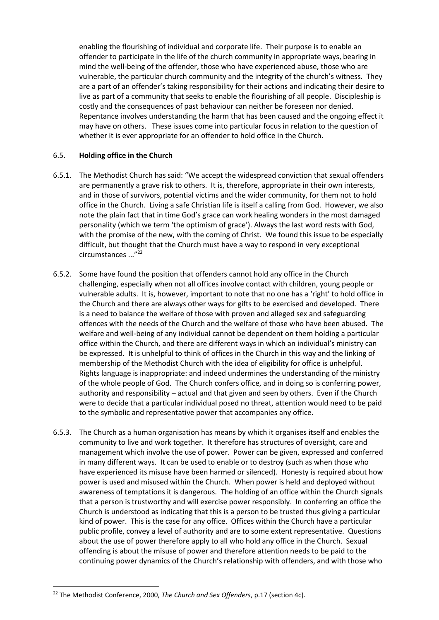enabling the flourishing of individual and corporate life. Their purpose is to enable an offender to participate in the life of the church community in appropriate ways, bearing in mind the well-being of the offender, those who have experienced abuse, those who are vulnerable, the particular church community and the integrity of the church's witness. They are a part of an offender's taking responsibility for their actions and indicating their desire to live as part of a community that seeks to enable the flourishing of all people. Discipleship is costly and the consequences of past behaviour can neither be foreseen nor denied. Repentance involves understanding the harm that has been caused and the ongoing effect it may have on others. These issues come into particular focus in relation to the question of whether it is ever appropriate for an offender to hold office in the Church.

## 6.5. **Holding office in the Church**

- 6.5.1. The Methodist Church has said: "We accept the widespread conviction that sexual offenders are permanently a grave risk to others. It is, therefore, appropriate in their own interests, and in those of survivors, potential victims and the wider community, for them not to hold office in the Church. Living a safe Christian life is itself a calling from God. However, we also note the plain fact that in time God's grace can work healing wonders in the most damaged personality (which we term 'the optimism of grace'). Always the last word rests with God, with the promise of the new, with the coming of Christ. We found this issue to be especially difficult, but thought that the Church must have a way to respond in very exceptional circumstances ..."<sup>22</sup>
- 6.5.2. Some have found the position that offenders cannot hold any office in the Church challenging, especially when not all offices involve contact with children, young people or vulnerable adults. It is, however, important to note that no one has a 'right' to hold office in the Church and there are always other ways for gifts to be exercised and developed. There is a need to balance the welfare of those with proven and alleged sex and safeguarding offences with the needs of the Church and the welfare of those who have been abused. The welfare and well-being of any individual cannot be dependent on them holding a particular office within the Church, and there are different ways in which an individual's ministry can be expressed. It is unhelpful to think of offices in the Church in this way and the linking of membership of the Methodist Church with the idea of eligibility for office is unhelpful. Rights language is inappropriate: and indeed undermines the understanding of the ministry of the whole people of God. The Church confers office, and in doing so is conferring power, authority and responsibility – actual and that given and seen by others. Even if the Church were to decide that a particular individual posed no threat, attention would need to be paid to the symbolic and representative power that accompanies any office.
- 6.5.3. The Church as a human organisation has means by which it organises itself and enables the community to live and work together. It therefore has structures of oversight, care and management which involve the use of power. Power can be given, expressed and conferred in many different ways. It can be used to enable or to destroy (such as when those who have experienced its misuse have been harmed or silenced). Honesty is required about how power is used and misused within the Church. When power is held and deployed without awareness of temptations it is dangerous. The holding of an office within the Church signals that a person is trustworthy and will exercise power responsibly. In conferring an office the Church is understood as indicating that this is a person to be trusted thus giving a particular kind of power. This is the case for any office. Offices within the Church have a particular public profile, convey a level of authority and are to some extent representative. Questions about the use of power therefore apply to all who hold any office in the Church. Sexual offending is about the misuse of power and therefore attention needs to be paid to the continuing power dynamics of the Church's relationship with offenders, and with those who

 $\overline{a}$ 

<sup>22</sup> The Methodist Conference, 2000, *The Church and Sex Offenders*, p.17 (section 4c).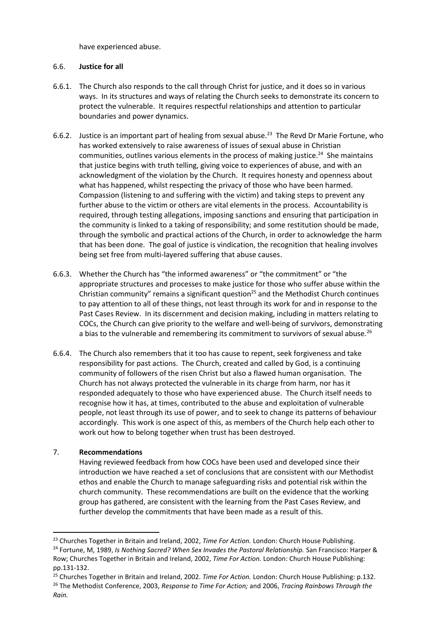have experienced abuse.

# 6.6. **Justice for all**

- 6.6.1. The Church also responds to the call through Christ for justice, and it does so in various ways. In its structures and ways of relating the Church seeks to demonstrate its concern to protect the vulnerable. It requires respectful relationships and attention to particular boundaries and power dynamics.
- 6.6.2. Justice is an important part of healing from sexual abuse.<sup>23</sup> The Revd Dr Marie Fortune, who has worked extensively to raise awareness of issues of sexual abuse in Christian communities, outlines various elements in the process of making justice.<sup>24</sup> She maintains that justice begins with truth telling, giving voice to experiences of abuse, and with an acknowledgment of the violation by the Church. It requires honesty and openness about what has happened, whilst respecting the privacy of those who have been harmed. Compassion (listening to and suffering with the victim) and taking steps to prevent any further abuse to the victim or others are vital elements in the process. Accountability is required, through testing allegations, imposing sanctions and ensuring that participation in the community is linked to a taking of responsibility; and some restitution should be made, through the symbolic and practical actions of the Church, in order to acknowledge the harm that has been done. The goal of justice is vindication, the recognition that healing involves being set free from multi-layered suffering that abuse causes.
- 6.6.3. Whether the Church has "the informed awareness" or "the commitment" or "the appropriate structures and processes to make justice for those who suffer abuse within the Christian community" remains a significant question<sup>25</sup> and the Methodist Church continues to pay attention to all of these things, not least through its work for and in response to the Past Cases Review. In its discernment and decision making, including in matters relating to COCs, the Church can give priority to the welfare and well-being of survivors, demonstrating a bias to the vulnerable and remembering its commitment to survivors of sexual abuse.<sup>26</sup>
- 6.6.4. The Church also remembers that it too has cause to repent, seek forgiveness and take responsibility for past actions. The Church, created and called by God, is a continuing community of followers of the risen Christ but also a flawed human organisation. The Church has not always protected the vulnerable in its charge from harm, nor has it responded adequately to those who have experienced abuse. The Church itself needs to recognise how it has, at times, contributed to the abuse and exploitation of vulnerable people, not least through its use of power, and to seek to change its patterns of behaviour accordingly. This work is one aspect of this, as members of the Church help each other to work out how to belong together when trust has been destroyed.

# 7. **Recommendations**

1

Having reviewed feedback from how COCs have been used and developed since their introduction we have reached a set of conclusions that are consistent with our Methodist ethos and enable the Church to manage safeguarding risks and potential risk within the church community. These recommendations are built on the evidence that the working group has gathered, are consistent with the learning from the Past Cases Review, and further develop the commitments that have been made as a result of this.

<sup>25</sup> Churches Together in Britain and Ireland, 2002. *Time For Action.* London: Church House Publishing: p.132.

<sup>23</sup> Churches Together in Britain and Ireland, 2002, *Time For Action.* London: Church House Publishing.

<sup>24</sup> Fortune, M, 1989, *Is Nothing Sacred? When Sex Invades the Pastoral Relationship.* San Francisco: Harper & Row; Churches Together in Britain and Ireland, 2002, *Time For Action.* London: Church House Publishing: pp.131-132.

<sup>26</sup> The Methodist Conference, 2003, *Response to Time For Action;* and 2006, *Tracing Rainbows Through the Rain.*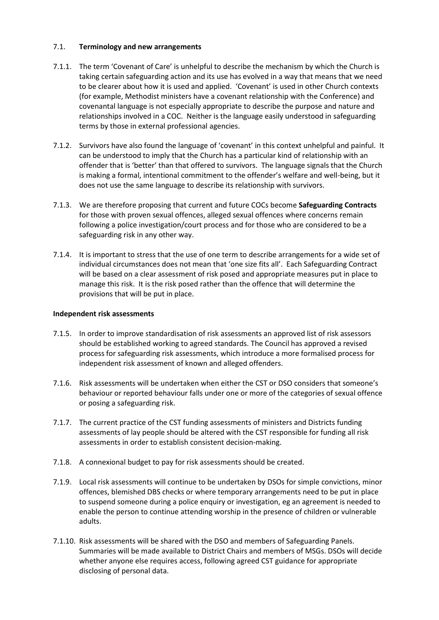## 7.1. **Terminology and new arrangements**

- 7.1.1. The term 'Covenant of Care' is unhelpful to describe the mechanism by which the Church is taking certain safeguarding action and its use has evolved in a way that means that we need to be clearer about how it is used and applied. 'Covenant' is used in other Church contexts (for example, Methodist ministers have a covenant relationship with the Conference) and covenantal language is not especially appropriate to describe the purpose and nature and relationships involved in a COC. Neither is the language easily understood in safeguarding terms by those in external professional agencies.
- 7.1.2. Survivors have also found the language of 'covenant' in this context unhelpful and painful. It can be understood to imply that the Church has a particular kind of relationship with an offender that is 'better' than that offered to survivors. The language signals that the Church is making a formal, intentional commitment to the offender's welfare and well-being, but it does not use the same language to describe its relationship with survivors.
- 7.1.3. We are therefore proposing that current and future COCs become **Safeguarding Contracts** for those with proven sexual offences, alleged sexual offences where concerns remain following a police investigation/court process and for those who are considered to be a safeguarding risk in any other way.
- 7.1.4. It is important to stress that the use of one term to describe arrangements for a wide set of individual circumstances does not mean that 'one size fits all'. Each Safeguarding Contract will be based on a clear assessment of risk posed and appropriate measures put in place to manage this risk. It is the risk posed rather than the offence that will determine the provisions that will be put in place.

## **Independent risk assessments**

- 7.1.5. In order to improve standardisation of risk assessments an approved list of risk assessors should be established working to agreed standards. The Council has approved a revised process for safeguarding risk assessments, which introduce a more formalised process for independent risk assessment of known and alleged offenders.
- 7.1.6. Risk assessments will be undertaken when either the CST or DSO considers that someone's behaviour or reported behaviour falls under one or more of the categories of sexual offence or posing a safeguarding risk.
- 7.1.7. The current practice of the CST funding assessments of ministers and Districts funding assessments of lay people should be altered with the CST responsible for funding all risk assessments in order to establish consistent decision-making.
- 7.1.8. A connexional budget to pay for risk assessments should be created.
- 7.1.9. Local risk assessments will continue to be undertaken by DSOs for simple convictions, minor offences, blemished DBS checks or where temporary arrangements need to be put in place to suspend someone during a police enquiry or investigation, eg an agreement is needed to enable the person to continue attending worship in the presence of children or vulnerable adults.
- 7.1.10. Risk assessments will be shared with the DSO and members of Safeguarding Panels. Summaries will be made available to District Chairs and members of MSGs. DSOs will decide whether anyone else requires access, following agreed CST guidance for appropriate disclosing of personal data.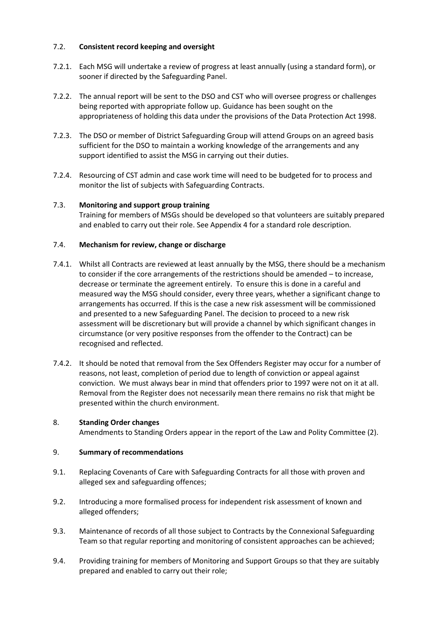# 7.2. **Consistent record keeping and oversight**

- 7.2.1. Each MSG will undertake a review of progress at least annually (using a standard form), or sooner if directed by the Safeguarding Panel.
- 7.2.2. The annual report will be sent to the DSO and CST who will oversee progress or challenges being reported with appropriate follow up. Guidance has been sought on the appropriateness of holding this data under the provisions of the Data Protection Act 1998.
- 7.2.3. The DSO or member of District Safeguarding Group will attend Groups on an agreed basis sufficient for the DSO to maintain a working knowledge of the arrangements and any support identified to assist the MSG in carrying out their duties.
- 7.2.4. Resourcing of CST admin and case work time will need to be budgeted for to process and monitor the list of subjects with Safeguarding Contracts.

## 7.3. **Monitoring and support group training**

Training for members of MSGs should be developed so that volunteers are suitably prepared and enabled to carry out their role. See Appendix 4 for a standard role description.

## 7.4. **Mechanism for review, change or discharge**

- 7.4.1. Whilst all Contracts are reviewed at least annually by the MSG, there should be a mechanism to consider if the core arrangements of the restrictions should be amended – to increase, decrease or terminate the agreement entirely. To ensure this is done in a careful and measured way the MSG should consider, every three years, whether a significant change to arrangements has occurred. If this is the case a new risk assessment will be commissioned and presented to a new Safeguarding Panel. The decision to proceed to a new risk assessment will be discretionary but will provide a channel by which significant changes in circumstance (or very positive responses from the offender to the Contract) can be recognised and reflected.
- 7.4.2. It should be noted that removal from the Sex Offenders Register may occur for a number of reasons, not least, completion of period due to length of conviction or appeal against conviction. We must always bear in mind that offenders prior to 1997 were not on it at all. Removal from the Register does not necessarily mean there remains no risk that might be presented within the church environment.

## 8. **Standing Order changes**

Amendments to Standing Orders appear in the report of the Law and Polity Committee (2).

## 9. **Summary of recommendations**

- 9.1. Replacing Covenants of Care with Safeguarding Contracts for all those with proven and alleged sex and safeguarding offences;
- 9.2. Introducing a more formalised process for independent risk assessment of known and alleged offenders;
- 9.3. Maintenance of records of all those subject to Contracts by the Connexional Safeguarding Team so that regular reporting and monitoring of consistent approaches can be achieved;
- 9.4. Providing training for members of Monitoring and Support Groups so that they are suitably prepared and enabled to carry out their role;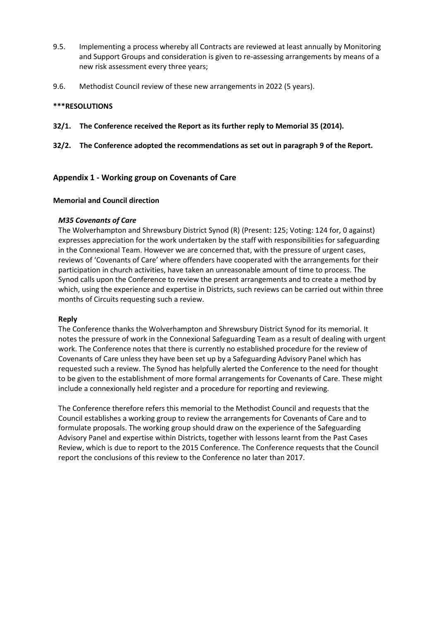- 9.5. Implementing a process whereby all Contracts are reviewed at least annually by Monitoring and Support Groups and consideration is given to re-assessing arrangements by means of a new risk assessment every three years;
- 9.6. Methodist Council review of these new arrangements in 2022 (5 years).

## **\*\*\*RESOLUTIONS**

**32/1. The Conference received the Report as its further reply to Memorial 35 (2014).**

## **32/2. The Conference adopted the recommendations as set out in paragraph 9 of the Report.**

# **Appendix 1 - Working group on Covenants of Care**

## **Memorial and Council direction**

## *M35 Covenants of Care*

The Wolverhampton and Shrewsbury District Synod (R) (Present: 125; Voting: 124 for, 0 against) expresses appreciation for the work undertaken by the staff with responsibilities for safeguarding in the Connexional Team. However we are concerned that, with the pressure of urgent cases, reviews of 'Covenants of Care' where offenders have cooperated with the arrangements for their participation in church activities, have taken an unreasonable amount of time to process. The Synod calls upon the Conference to review the present arrangements and to create a method by which, using the experience and expertise in Districts, such reviews can be carried out within three months of Circuits requesting such a review.

## **Reply**

The Conference thanks the Wolverhampton and Shrewsbury District Synod for its memorial. It notes the pressure of work in the Connexional Safeguarding Team as a result of dealing with urgent work. The Conference notes that there is currently no established procedure for the review of Covenants of Care unless they have been set up by a Safeguarding Advisory Panel which has requested such a review. The Synod has helpfully alerted the Conference to the need for thought to be given to the establishment of more formal arrangements for Covenants of Care. These might include a connexionally held register and a procedure for reporting and reviewing.

The Conference therefore refers this memorial to the Methodist Council and requests that the Council establishes a working group to review the arrangements for Covenants of Care and to formulate proposals. The working group should draw on the experience of the Safeguarding Advisory Panel and expertise within Districts, together with lessons learnt from the Past Cases Review, which is due to report to the 2015 Conference. The Conference requests that the Council report the conclusions of this review to the Conference no later than 2017.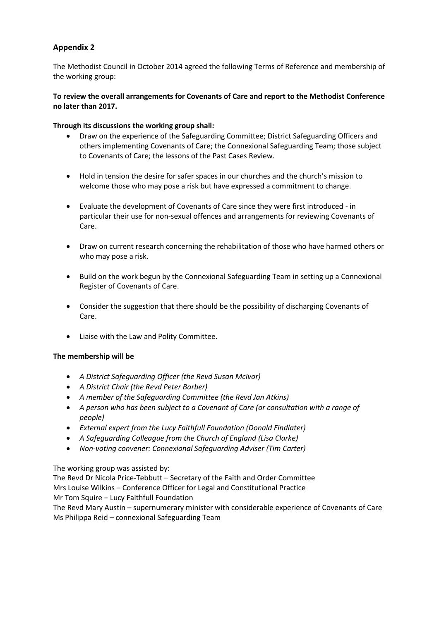The Methodist Council in October 2014 agreed the following Terms of Reference and membership of the working group:

# **To review the overall arrangements for Covenants of Care and report to the Methodist Conference no later than 2017.**

## **Through its discussions the working group shall:**

- Draw on the experience of the Safeguarding Committee; District Safeguarding Officers and others implementing Covenants of Care; the Connexional Safeguarding Team; those subject to Covenants of Care; the lessons of the Past Cases Review.
- Hold in tension the desire for safer spaces in our churches and the church's mission to welcome those who may pose a risk but have expressed a commitment to change.
- Evaluate the development of Covenants of Care since they were first introduced in particular their use for non-sexual offences and arrangements for reviewing Covenants of Care.
- Draw on current research concerning the rehabilitation of those who have harmed others or who may pose a risk.
- Build on the work begun by the Connexional Safeguarding Team in setting up a Connexional Register of Covenants of Care.
- Consider the suggestion that there should be the possibility of discharging Covenants of Care.
- Liaise with the Law and Polity Committee.

## **The membership will be**

- *A District Safeguarding Officer (the Revd Susan McIvor)*
- *A District Chair (the Revd Peter Barber)*
- *A member of the Safeguarding Committee (the Revd Jan Atkins)*
- *A person who has been subject to a Covenant of Care (or consultation with a range of people)*
- *External expert from the Lucy Faithfull Foundation (Donald Findlater)*
- *A Safeguarding Colleague from the Church of England (Lisa Clarke)*
- *Non-voting convener: Connexional Safeguarding Adviser (Tim Carter)*

The working group was assisted by:

The Revd Dr Nicola Price-Tebbutt – Secretary of the Faith and Order Committee Mrs Louise Wilkins – Conference Officer for Legal and Constitutional Practice Mr Tom Squire – Lucy Faithfull Foundation

The Revd Mary Austin – supernumerary minister with considerable experience of Covenants of Care Ms Philippa Reid – connexional Safeguarding Team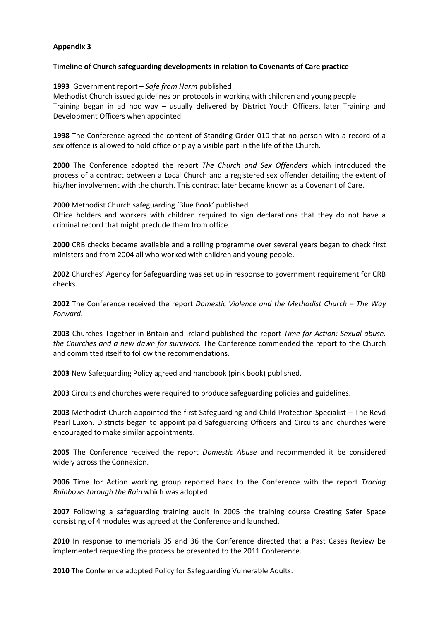## **Timeline of Church safeguarding developments in relation to Covenants of Care practice**

## **1993** Government report – *Safe from Harm* published

Methodist Church issued guidelines on protocols in working with children and young people. Training began in ad hoc way – usually delivered by District Youth Officers, later Training and Development Officers when appointed.

**1998** The Conference agreed the content of Standing Order 010 that no person with a record of a sex offence is allowed to hold office or play a visible part in the life of the Church.

**2000** The Conference adopted the report *The Church and Sex Offenders* which introduced the process of a contract between a Local Church and a registered sex offender detailing the extent of his/her involvement with the church. This contract later became known as a Covenant of Care.

## **2000** Methodist Church safeguarding 'Blue Book' published.

Office holders and workers with children required to sign declarations that they do not have a criminal record that might preclude them from office.

**2000** CRB checks became available and a rolling programme over several years began to check first ministers and from 2004 all who worked with children and young people.

**2002** Churches' Agency for Safeguarding was set up in response to government requirement for CRB checks.

**2002** The Conference received the report *Domestic Violence and the Methodist Church – The Way Forward*.

**2003** Churches Together in Britain and Ireland published the report *Time for Action: Sexual abuse, the Churches and a new dawn for survivors.* The Conference commended the report to the Church and committed itself to follow the recommendations.

**2003** New Safeguarding Policy agreed and handbook (pink book) published.

**2003** Circuits and churches were required to produce safeguarding policies and guidelines.

**2003** Methodist Church appointed the first Safeguarding and Child Protection Specialist – The Revd Pearl Luxon. Districts began to appoint paid Safeguarding Officers and Circuits and churches were encouraged to make similar appointments.

**2005** The Conference received the report *Domestic Abuse* and recommended it be considered widely across the Connexion.

**2006** Time for Action working group reported back to the Conference with the report *Tracing Rainbows through the Rain* which was adopted.

**2007** Following a safeguarding training audit in 2005 the training course Creating Safer Space consisting of 4 modules was agreed at the Conference and launched.

**2010** In response to memorials 35 and 36 the Conference directed that a Past Cases Review be implemented requesting the process be presented to the 2011 Conference.

**2010** The Conference adopted Policy for Safeguarding Vulnerable Adults.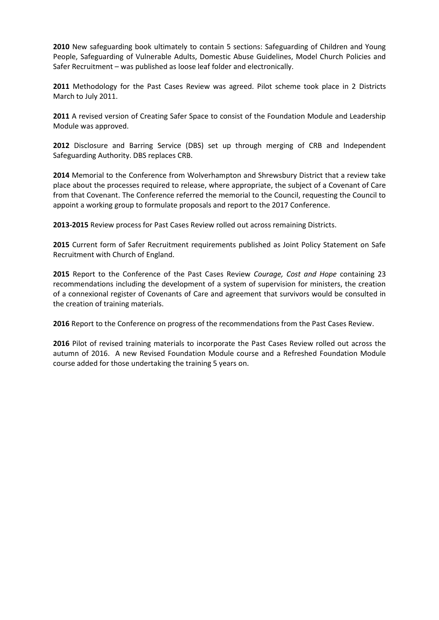**2010** New safeguarding book ultimately to contain 5 sections: Safeguarding of Children and Young People, Safeguarding of Vulnerable Adults, Domestic Abuse Guidelines, Model Church Policies and Safer Recruitment – was published as loose leaf folder and electronically.

**2011** Methodology for the Past Cases Review was agreed. Pilot scheme took place in 2 Districts March to July 2011.

**2011** A revised version of Creating Safer Space to consist of the Foundation Module and Leadership Module was approved.

**2012** Disclosure and Barring Service (DBS) set up through merging of CRB and Independent Safeguarding Authority. DBS replaces CRB.

**2014** Memorial to the Conference from Wolverhampton and Shrewsbury District that a review take place about the processes required to release, where appropriate, the subject of a Covenant of Care from that Covenant. The Conference referred the memorial to the Council, requesting the Council to appoint a working group to formulate proposals and report to the 2017 Conference.

**2013-2015** Review process for Past Cases Review rolled out across remaining Districts.

**2015** Current form of Safer Recruitment requirements published as Joint Policy Statement on Safe Recruitment with Church of England.

**2015** Report to the Conference of the Past Cases Review *Courage, Cost and Hope* containing 23 recommendations including the development of a system of supervision for ministers, the creation of a connexional register of Covenants of Care and agreement that survivors would be consulted in the creation of training materials.

**2016** Report to the Conference on progress of the recommendations from the Past Cases Review.

**2016** Pilot of revised training materials to incorporate the Past Cases Review rolled out across the autumn of 2016. A new Revised Foundation Module course and a Refreshed Foundation Module course added for those undertaking the training 5 years on.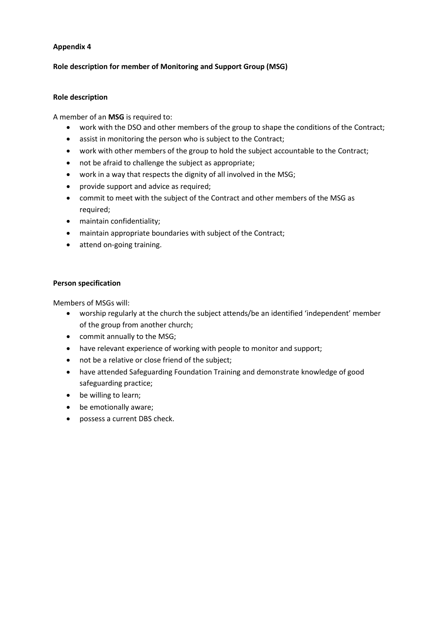## **Role description for member of Monitoring and Support Group (MSG)**

## **Role description**

A member of an **MSG** is required to:

- work with the DSO and other members of the group to shape the conditions of the Contract;
- assist in monitoring the person who is subject to the Contract;
- work with other members of the group to hold the subject accountable to the Contract;
- not be afraid to challenge the subject as appropriate;
- work in a way that respects the dignity of all involved in the MSG;
- provide support and advice as required;
- commit to meet with the subject of the Contract and other members of the MSG as required;
- maintain confidentiality;
- maintain appropriate boundaries with subject of the Contract;
- attend on-going training.

## **Person specification**

Members of MSGs will:

- worship regularly at the church the subject attends/be an identified 'independent' member of the group from another church;
- commit annually to the MSG;
- have relevant experience of working with people to monitor and support;
- not be a relative or close friend of the subject;
- have attended Safeguarding Foundation Training and demonstrate knowledge of good safeguarding practice;
- be willing to learn;
- be emotionally aware;
- possess a current DBS check.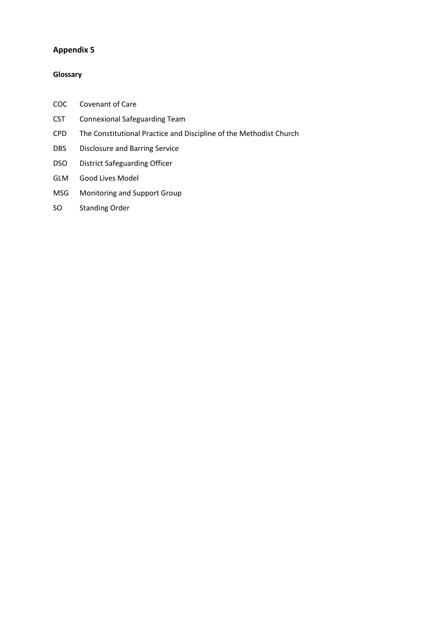## **Glossary**

- COC Covenant of Care
- CST Connexional Safeguarding Team
- CPD The Constitutional Practice and Discipline of the Methodist Church
- DBS Disclosure and Barring Service
- DSO District Safeguarding Officer
- GLM Good Lives Model
- MSG Monitoring and Support Group
- SO Standing Order